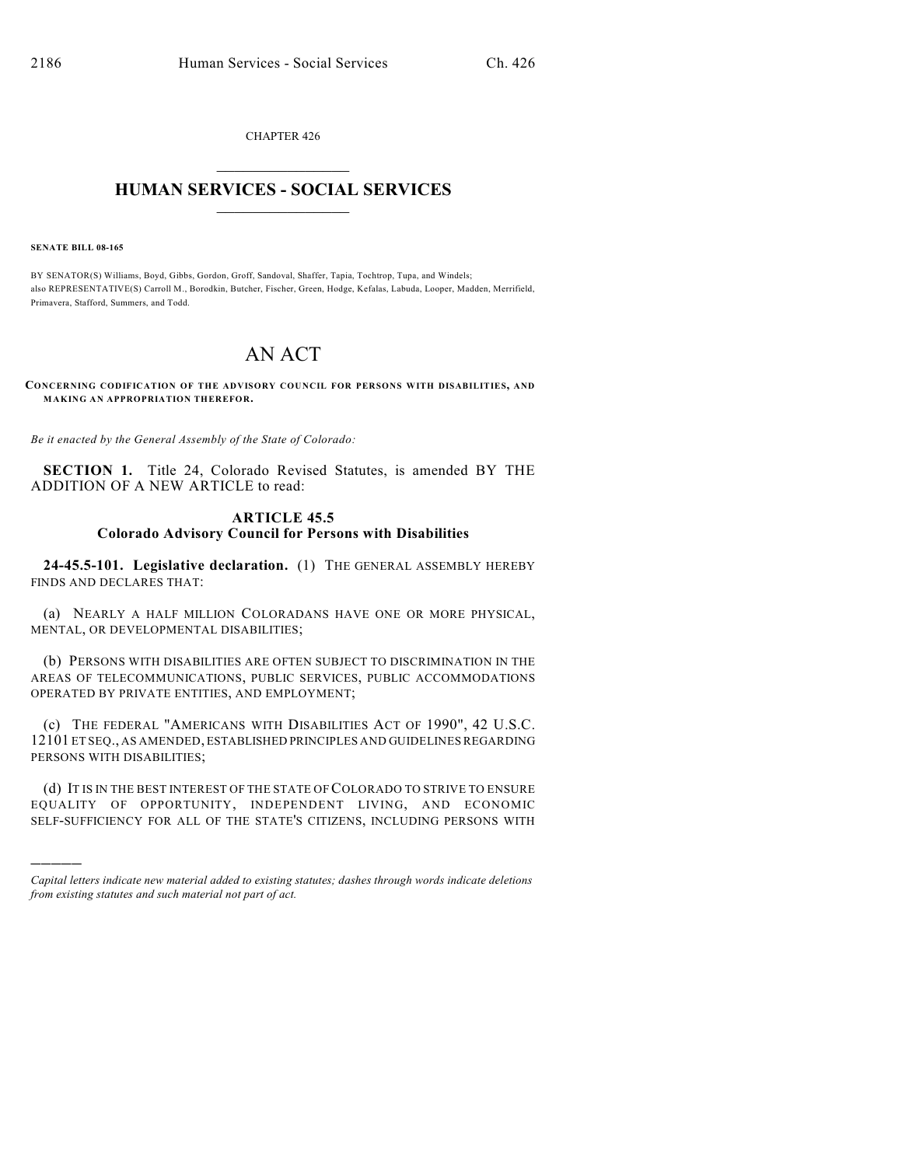CHAPTER 426  $\overline{\phantom{a}}$  . The set of the set of the set of the set of the set of the set of the set of the set of the set of the set of the set of the set of the set of the set of the set of the set of the set of the set of the set o

## **HUMAN SERVICES - SOCIAL SERVICES**  $\frac{1}{2}$  ,  $\frac{1}{2}$  ,  $\frac{1}{2}$  ,  $\frac{1}{2}$  ,  $\frac{1}{2}$  ,  $\frac{1}{2}$  ,  $\frac{1}{2}$

**SENATE BILL 08-165**

)))))

BY SENATOR(S) Williams, Boyd, Gibbs, Gordon, Groff, Sandoval, Shaffer, Tapia, Tochtrop, Tupa, and Windels; also REPRESENTATIVE(S) Carroll M., Borodkin, Butcher, Fischer, Green, Hodge, Kefalas, Labuda, Looper, Madden, Merrifield, Primavera, Stafford, Summers, and Todd.

## AN ACT

**CONCERNING CODIFICATION OF THE ADVISORY COUNCIL FOR PERSONS WITH DISABILITIES, AND MAKING AN APPROPRIATION THEREFOR.**

*Be it enacted by the General Assembly of the State of Colorado:*

**SECTION 1.** Title 24, Colorado Revised Statutes, is amended BY THE ADDITION OF A NEW ARTICLE to read:

## **ARTICLE 45.5 Colorado Advisory Council for Persons with Disabilities**

**24-45.5-101. Legislative declaration.** (1) THE GENERAL ASSEMBLY HEREBY FINDS AND DECLARES THAT:

(a) NEARLY A HALF MILLION COLORADANS HAVE ONE OR MORE PHYSICAL, MENTAL, OR DEVELOPMENTAL DISABILITIES;

(b) PERSONS WITH DISABILITIES ARE OFTEN SUBJECT TO DISCRIMINATION IN THE AREAS OF TELECOMMUNICATIONS, PUBLIC SERVICES, PUBLIC ACCOMMODATIONS OPERATED BY PRIVATE ENTITIES, AND EMPLOYMENT;

(c) THE FEDERAL "AMERICANS WITH DISABILITIES ACT OF 1990", 42 U.S.C. 12101 ET SEQ., AS AMENDED, ESTABLISHED PRINCIPLES AND GUIDELINES REGARDING PERSONS WITH DISABILITIES;

(d) IT IS IN THE BEST INTEREST OF THE STATE OF COLORADO TO STRIVE TO ENSURE EQUALITY OF OPPORTUNITY, INDEPENDENT LIVING, AND ECONOMIC SELF-SUFFICIENCY FOR ALL OF THE STATE'S CITIZENS, INCLUDING PERSONS WITH

*Capital letters indicate new material added to existing statutes; dashes through words indicate deletions from existing statutes and such material not part of act.*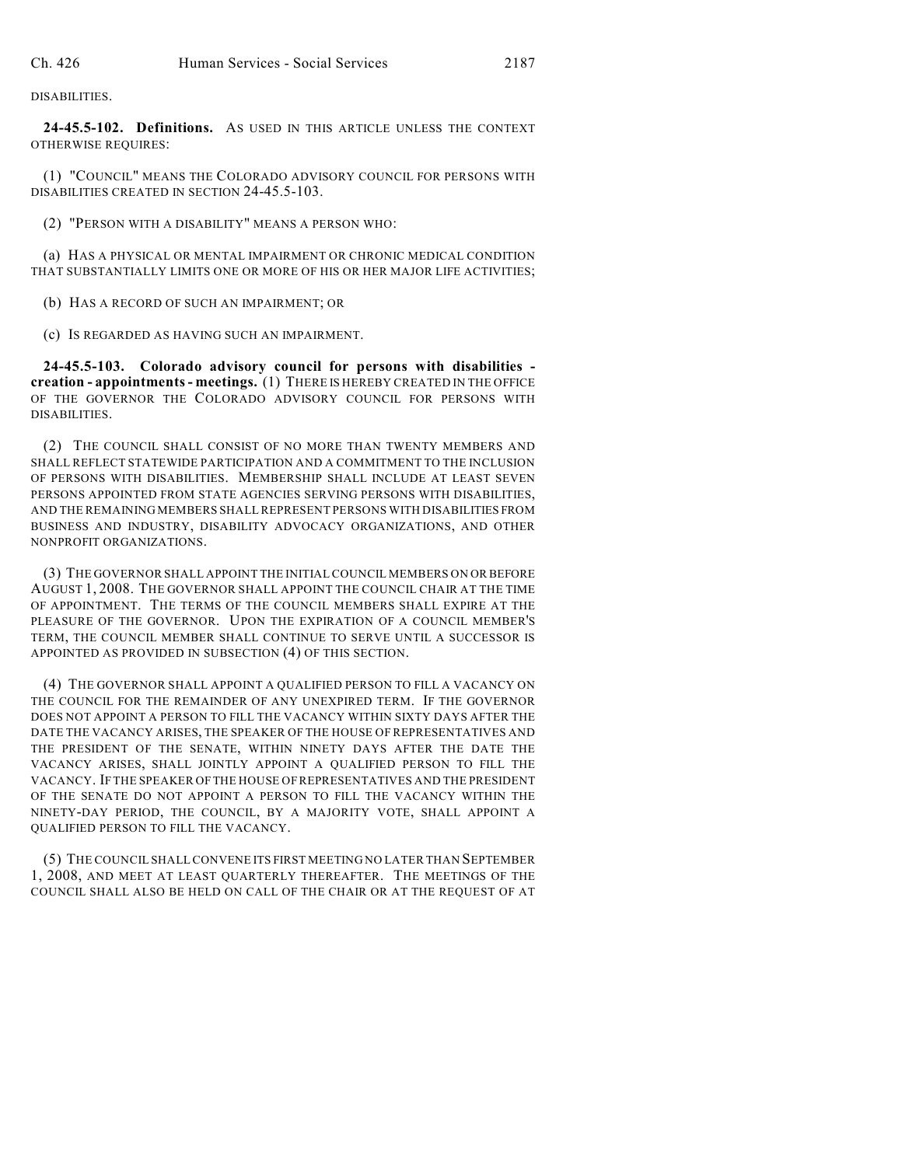DISABILITIES.

**24-45.5-102. Definitions.** AS USED IN THIS ARTICLE UNLESS THE CONTEXT OTHERWISE REQUIRES:

(1) "COUNCIL" MEANS THE COLORADO ADVISORY COUNCIL FOR PERSONS WITH DISABILITIES CREATED IN SECTION 24-45.5-103.

(2) "PERSON WITH A DISABILITY" MEANS A PERSON WHO:

(a) HAS A PHYSICAL OR MENTAL IMPAIRMENT OR CHRONIC MEDICAL CONDITION THAT SUBSTANTIALLY LIMITS ONE OR MORE OF HIS OR HER MAJOR LIFE ACTIVITIES;

(b) HAS A RECORD OF SUCH AN IMPAIRMENT; OR

(c) IS REGARDED AS HAVING SUCH AN IMPAIRMENT.

**24-45.5-103. Colorado advisory council for persons with disabilities creation - appointments - meetings.** (1) THERE IS HEREBY CREATED IN THE OFFICE OF THE GOVERNOR THE COLORADO ADVISORY COUNCIL FOR PERSONS WITH DISABILITIES.

(2) THE COUNCIL SHALL CONSIST OF NO MORE THAN TWENTY MEMBERS AND SHALL REFLECT STATEWIDE PARTICIPATION AND A COMMITMENT TO THE INCLUSION OF PERSONS WITH DISABILITIES. MEMBERSHIP SHALL INCLUDE AT LEAST SEVEN PERSONS APPOINTED FROM STATE AGENCIES SERVING PERSONS WITH DISABILITIES, AND THE REMAINING MEMBERS SHALL REPRESENT PERSONS WITH DISABILITIES FROM BUSINESS AND INDUSTRY, DISABILITY ADVOCACY ORGANIZATIONS, AND OTHER NONPROFIT ORGANIZATIONS.

(3) THE GOVERNOR SHALL APPOINT THE INITIAL COUNCIL MEMBERS ON OR BEFORE AUGUST 1, 2008. THE GOVERNOR SHALL APPOINT THE COUNCIL CHAIR AT THE TIME OF APPOINTMENT. THE TERMS OF THE COUNCIL MEMBERS SHALL EXPIRE AT THE PLEASURE OF THE GOVERNOR. UPON THE EXPIRATION OF A COUNCIL MEMBER'S TERM, THE COUNCIL MEMBER SHALL CONTINUE TO SERVE UNTIL A SUCCESSOR IS APPOINTED AS PROVIDED IN SUBSECTION (4) OF THIS SECTION.

(4) THE GOVERNOR SHALL APPOINT A QUALIFIED PERSON TO FILL A VACANCY ON THE COUNCIL FOR THE REMAINDER OF ANY UNEXPIRED TERM. IF THE GOVERNOR DOES NOT APPOINT A PERSON TO FILL THE VACANCY WITHIN SIXTY DAYS AFTER THE DATE THE VACANCY ARISES, THE SPEAKER OF THE HOUSE OF REPRESENTATIVES AND THE PRESIDENT OF THE SENATE, WITHIN NINETY DAYS AFTER THE DATE THE VACANCY ARISES, SHALL JOINTLY APPOINT A QUALIFIED PERSON TO FILL THE VACANCY. IF THE SPEAKER OF THE HOUSE OF REPRESENTATIVES AND THE PRESIDENT OF THE SENATE DO NOT APPOINT A PERSON TO FILL THE VACANCY WITHIN THE NINETY-DAY PERIOD, THE COUNCIL, BY A MAJORITY VOTE, SHALL APPOINT A QUALIFIED PERSON TO FILL THE VACANCY.

(5) THE COUNCIL SHALL CONVENE ITS FIRST MEETING NO LATER THAN SEPTEMBER 1, 2008, AND MEET AT LEAST QUARTERLY THEREAFTER. THE MEETINGS OF THE COUNCIL SHALL ALSO BE HELD ON CALL OF THE CHAIR OR AT THE REQUEST OF AT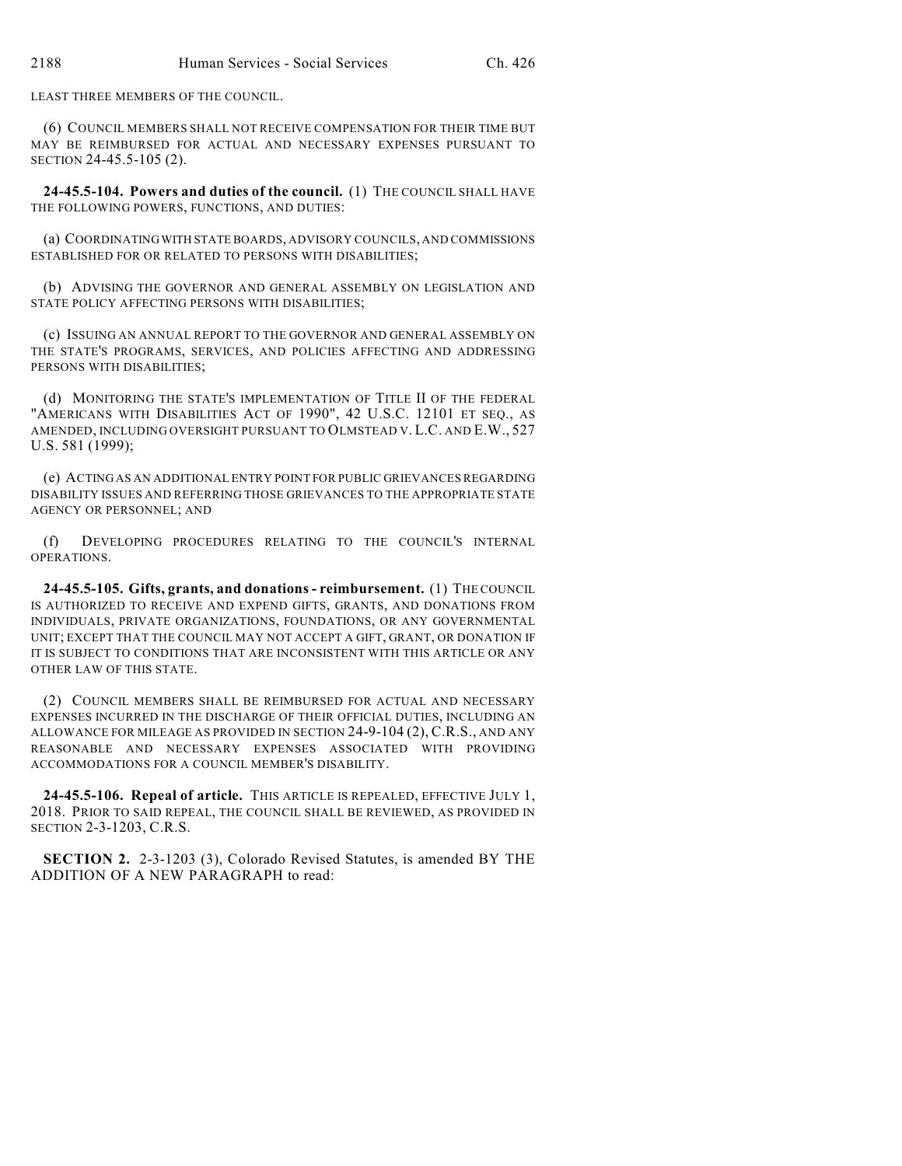LEAST THREE MEMBERS OF THE COUNCIL.

(6) COUNCIL MEMBERS SHALL NOT RECEIVE COMPENSATION FOR THEIR TIME BUT MAY BE REIMBURSED FOR ACTUAL AND NECESSARY EXPENSES PURSUANT TO SECTION 24-45.5-105 (2).

**24-45.5-104. Powers and duties of the council.** (1) THE COUNCIL SHALL HAVE THE FOLLOWING POWERS, FUNCTIONS, AND DUTIES:

(a) COORDINATING WITH STATE BOARDS, ADVISORY COUNCILS, AND COMMISSIONS ESTABLISHED FOR OR RELATED TO PERSONS WITH DISABILITIES;

(b) ADVISING THE GOVERNOR AND GENERAL ASSEMBLY ON LEGISLATION AND STATE POLICY AFFECTING PERSONS WITH DISABILITIES;

(c) ISSUING AN ANNUAL REPORT TO THE GOVERNOR AND GENERAL ASSEMBLY ON THE STATE'S PROGRAMS, SERVICES, AND POLICIES AFFECTING AND ADDRESSING PERSONS WITH DISABILITIES;

(d) MONITORING THE STATE'S IMPLEMENTATION OF TITLE II OF THE FEDERAL "AMERICANS WITH DISABILITIES ACT OF 1990", 42 U.S.C. 12101 ET SEQ., AS AMENDED, INCLUDING OVERSIGHT PURSUANT TO OLMSTEAD V. L.C. AND E.W., 527 U.S. 581 (1999);

(e) ACTING AS AN ADDITIONAL ENTRY POINT FOR PUBLIC GRIEVANCES REGARDING DISABILITY ISSUES AND REFERRING THOSE GRIEVANCES TO THE APPROPRIATE STATE AGENCY OR PERSONNEL; AND

(f) DEVELOPING PROCEDURES RELATING TO THE COUNCIL'S INTERNAL OPERATIONS.

**24-45.5-105. Gifts, grants, and donations - reimbursement.** (1) THE COUNCIL IS AUTHORIZED TO RECEIVE AND EXPEND GIFTS, GRANTS, AND DONATIONS FROM INDIVIDUALS, PRIVATE ORGANIZATIONS, FOUNDATIONS, OR ANY GOVERNMENTAL UNIT; EXCEPT THAT THE COUNCIL MAY NOT ACCEPT A GIFT, GRANT, OR DONATION IF IT IS SUBJECT TO CONDITIONS THAT ARE INCONSISTENT WITH THIS ARTICLE OR ANY OTHER LAW OF THIS STATE.

(2) COUNCIL MEMBERS SHALL BE REIMBURSED FOR ACTUAL AND NECESSARY EXPENSES INCURRED IN THE DISCHARGE OF THEIR OFFICIAL DUTIES, INCLUDING AN ALLOWANCE FOR MILEAGE AS PROVIDED IN SECTION 24-9-104 (2), C.R.S., AND ANY REASONABLE AND NECESSARY EXPENSES ASSOCIATED WITH PROVIDING ACCOMMODATIONS FOR A COUNCIL MEMBER'S DISABILITY.

**24-45.5-106. Repeal of article.** THIS ARTICLE IS REPEALED, EFFECTIVE JULY 1, 2018. PRIOR TO SAID REPEAL, THE COUNCIL SHALL BE REVIEWED, AS PROVIDED IN SECTION 2-3-1203, C.R.S.

**SECTION 2.** 2-3-1203 (3), Colorado Revised Statutes, is amended BY THE ADDITION OF A NEW PARAGRAPH to read: